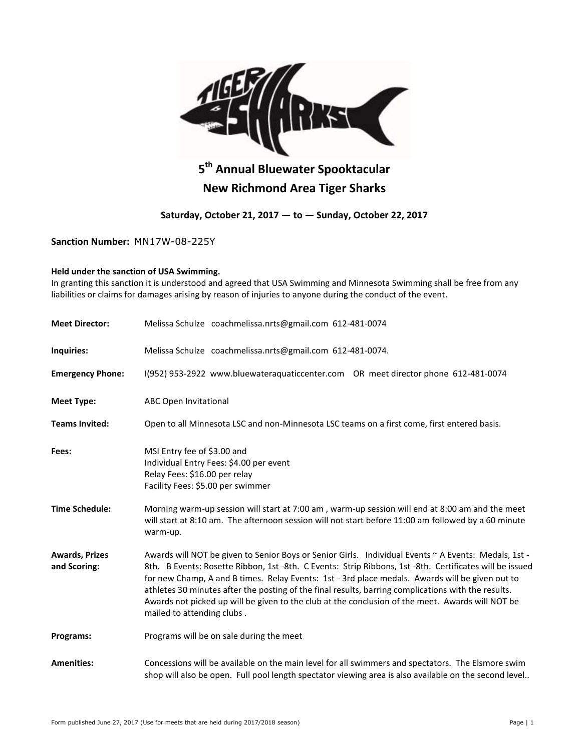

# **5 th Annual Bluewater Spooktacular New Richmond Area Tiger Sharks**

## **Saturday, October 21, 2017 — to — Sunday, October 22, 2017**

**Sanction Number:** MN17W-08-225Y

### **Held under the sanction of USA Swimming.**

In granting this sanction it is understood and agreed that USA Swimming and Minnesota Swimming shall be free from any liabilities or claims for damages arising by reason of injuries to anyone during the conduct of the event.

| <b>Meet Director:</b>                 | Melissa Schulze coachmelissa.nrts@gmail.com 612-481-0074                                                                                                                                                                                                                                                                                                                                                                                                                                                                                                    |  |  |  |  |  |  |
|---------------------------------------|-------------------------------------------------------------------------------------------------------------------------------------------------------------------------------------------------------------------------------------------------------------------------------------------------------------------------------------------------------------------------------------------------------------------------------------------------------------------------------------------------------------------------------------------------------------|--|--|--|--|--|--|
| Inquiries:                            | Melissa Schulze coachmelissa.nrts@gmail.com 612-481-0074.                                                                                                                                                                                                                                                                                                                                                                                                                                                                                                   |  |  |  |  |  |  |
| <b>Emergency Phone:</b>               | I(952) 953-2922 www.bluewateraquaticcenter.com OR meet director phone 612-481-0074                                                                                                                                                                                                                                                                                                                                                                                                                                                                          |  |  |  |  |  |  |
| <b>Meet Type:</b>                     | <b>ABC Open Invitational</b>                                                                                                                                                                                                                                                                                                                                                                                                                                                                                                                                |  |  |  |  |  |  |
| <b>Teams Invited:</b>                 | Open to all Minnesota LSC and non-Minnesota LSC teams on a first come, first entered basis.                                                                                                                                                                                                                                                                                                                                                                                                                                                                 |  |  |  |  |  |  |
| Fees:                                 | MSI Entry fee of \$3.00 and<br>Individual Entry Fees: \$4.00 per event<br>Relay Fees: \$16.00 per relay<br>Facility Fees: \$5.00 per swimmer                                                                                                                                                                                                                                                                                                                                                                                                                |  |  |  |  |  |  |
| <b>Time Schedule:</b>                 | Morning warm-up session will start at 7:00 am, warm-up session will end at 8:00 am and the meet<br>will start at 8:10 am. The afternoon session will not start before 11:00 am followed by a 60 minute<br>warm-up.                                                                                                                                                                                                                                                                                                                                          |  |  |  |  |  |  |
| <b>Awards, Prizes</b><br>and Scoring: | Awards will NOT be given to Senior Boys or Senior Girls. Individual Events ~ A Events: Medals, 1st -<br>8th. B Events: Rosette Ribbon, 1st -8th. C Events: Strip Ribbons, 1st -8th. Certificates will be issued<br>for new Champ, A and B times. Relay Events: 1st - 3rd place medals. Awards will be given out to<br>athletes 30 minutes after the posting of the final results, barring complications with the results.<br>Awards not picked up will be given to the club at the conclusion of the meet. Awards will NOT be<br>mailed to attending clubs. |  |  |  |  |  |  |
| Programs:                             | Programs will be on sale during the meet                                                                                                                                                                                                                                                                                                                                                                                                                                                                                                                    |  |  |  |  |  |  |
| <b>Amenities:</b>                     | Concessions will be available on the main level for all swimmers and spectators. The Elsmore swim<br>shop will also be open. Full pool length spectator viewing area is also available on the second level                                                                                                                                                                                                                                                                                                                                                  |  |  |  |  |  |  |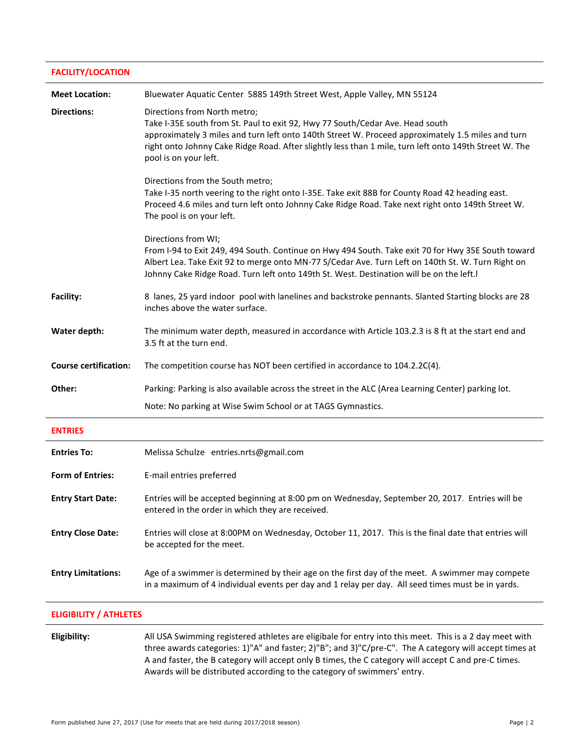#### **FACILITY/LOCATION**

| <b>Meet Location:</b>         | Bluewater Aquatic Center 5885 149th Street West, Apple Valley, MN 55124                                                                                                                                                                                                                                                                               |
|-------------------------------|-------------------------------------------------------------------------------------------------------------------------------------------------------------------------------------------------------------------------------------------------------------------------------------------------------------------------------------------------------|
| <b>Directions:</b>            | Directions from North metro;<br>Take I-35E south from St. Paul to exit 92, Hwy 77 South/Cedar Ave. Head south<br>approximately 3 miles and turn left onto 140th Street W. Proceed approximately 1.5 miles and turn<br>right onto Johnny Cake Ridge Road. After slightly less than 1 mile, turn left onto 149th Street W. The<br>pool is on your left. |
|                               | Directions from the South metro;<br>Take I-35 north veering to the right onto I-35E. Take exit 88B for County Road 42 heading east.<br>Proceed 4.6 miles and turn left onto Johnny Cake Ridge Road. Take next right onto 149th Street W.<br>The pool is on your left.                                                                                 |
|                               | Directions from WI;<br>From I-94 to Exit 249, 494 South. Continue on Hwy 494 South. Take exit 70 for Hwy 35E South toward<br>Albert Lea. Take Exit 92 to merge onto MN-77 S/Cedar Ave. Turn Left on 140th St. W. Turn Right on<br>Johnny Cake Ridge Road. Turn left onto 149th St. West. Destination will be on the left.                             |
| Facility:                     | 8 lanes, 25 yard indoor pool with lanelines and backstroke pennants. Slanted Starting blocks are 28<br>inches above the water surface.                                                                                                                                                                                                                |
| Water depth:                  | The minimum water depth, measured in accordance with Article 103.2.3 is 8 ft at the start end and<br>3.5 ft at the turn end.                                                                                                                                                                                                                          |
| <b>Course certification:</b>  | The competition course has NOT been certified in accordance to 104.2.2C(4).                                                                                                                                                                                                                                                                           |
| Other:                        | Parking: Parking is also available across the street in the ALC (Area Learning Center) parking lot.                                                                                                                                                                                                                                                   |
|                               | Note: No parking at Wise Swim School or at TAGS Gymnastics.                                                                                                                                                                                                                                                                                           |
| <b>ENTRIES</b>                |                                                                                                                                                                                                                                                                                                                                                       |
| <b>Entries To:</b>            | Melissa Schulze entries.nrts@gmail.com                                                                                                                                                                                                                                                                                                                |
| <b>Form of Entries:</b>       | E-mail entries preferred                                                                                                                                                                                                                                                                                                                              |
| <b>Entry Start Date:</b>      | Entries will be accepted beginning at 8:00 pm on Wednesday, September 20, 2017. Entries will be<br>entered in the order in which they are received.                                                                                                                                                                                                   |
| <b>Entry Close Date:</b>      | Entries will close at 8:00PM on Wednesday, October 11, 2017. This is the final date that entries will<br>be accepted for the meet.                                                                                                                                                                                                                    |
| <b>Entry Limitations:</b>     | Age of a swimmer is determined by their age on the first day of the meet. A swimmer may compete<br>in a maximum of 4 individual events per day and 1 relay per day. All seed times must be in yards.                                                                                                                                                  |
| <b>ELIGIBILITY / ATHLETES</b> |                                                                                                                                                                                                                                                                                                                                                       |

**Eligibility:** All USA Swimming registered athletes are eligibale for entry into this meet. This is a 2 day meet with three awards categories: 1)"A" and faster; 2)"B"; and 3)"C/pre-C". The A category will accept times at A and faster, the B category will accept only B times, the C category will accept C and pre-C times. Awards will be distributed according to the category of swimmers' entry.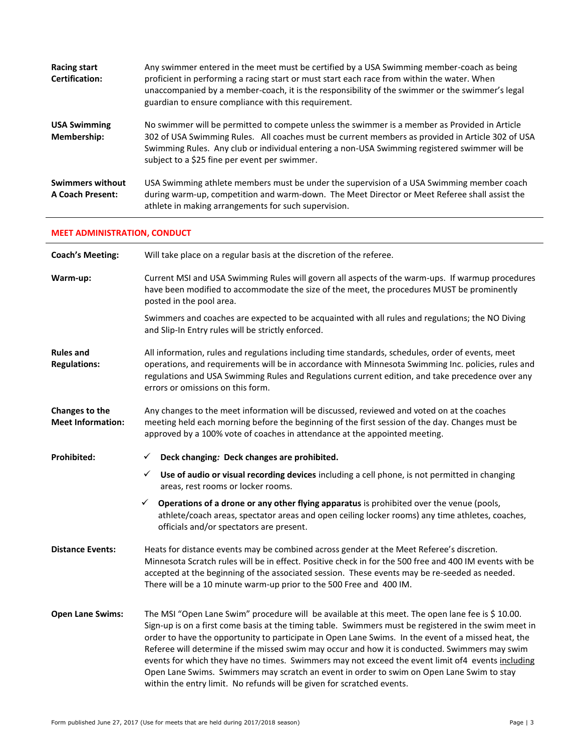| <b>Racing start</b><br><b>Certification:</b>       | Any swimmer entered in the meet must be certified by a USA Swimming member-coach as being<br>proficient in performing a racing start or must start each race from within the water. When<br>unaccompanied by a member-coach, it is the responsibility of the swimmer or the swimmer's legal<br>guardian to ensure compliance with this requirement. |
|----------------------------------------------------|-----------------------------------------------------------------------------------------------------------------------------------------------------------------------------------------------------------------------------------------------------------------------------------------------------------------------------------------------------|
| <b>USA Swimming</b><br>Membership:                 | No swimmer will be permitted to compete unless the swimmer is a member as Provided in Article<br>302 of USA Swimming Rules. All coaches must be current members as provided in Article 302 of USA<br>Swimming Rules. Any club or individual entering a non-USA Swimming registered swimmer will be<br>subject to a \$25 fine per event per swimmer. |
| <b>Swimmers without</b><br><b>A Coach Present:</b> | USA Swimming athlete members must be under the supervision of a USA Swimming member coach<br>during warm-up, competition and warm-down. The Meet Director or Meet Referee shall assist the<br>athlete in making arrangements for such supervision.                                                                                                  |

# **MEET ADMINISTRATION, CONDUCT**

| <b>Coach's Meeting:</b>                    | Will take place on a regular basis at the discretion of the referee.                                                                                                                                                                                                                                                                                                                                                                                                                                                                                                                                                                                                                            |
|--------------------------------------------|-------------------------------------------------------------------------------------------------------------------------------------------------------------------------------------------------------------------------------------------------------------------------------------------------------------------------------------------------------------------------------------------------------------------------------------------------------------------------------------------------------------------------------------------------------------------------------------------------------------------------------------------------------------------------------------------------|
| Warm-up:                                   | Current MSI and USA Swimming Rules will govern all aspects of the warm-ups. If warmup procedures<br>have been modified to accommodate the size of the meet, the procedures MUST be prominently<br>posted in the pool area.                                                                                                                                                                                                                                                                                                                                                                                                                                                                      |
|                                            | Swimmers and coaches are expected to be acquainted with all rules and regulations; the NO Diving<br>and Slip-In Entry rules will be strictly enforced.                                                                                                                                                                                                                                                                                                                                                                                                                                                                                                                                          |
| <b>Rules and</b><br><b>Regulations:</b>    | All information, rules and regulations including time standards, schedules, order of events, meet<br>operations, and requirements will be in accordance with Minnesota Swimming Inc. policies, rules and<br>regulations and USA Swimming Rules and Regulations current edition, and take precedence over any<br>errors or omissions on this form.                                                                                                                                                                                                                                                                                                                                               |
| Changes to the<br><b>Meet Information:</b> | Any changes to the meet information will be discussed, reviewed and voted on at the coaches<br>meeting held each morning before the beginning of the first session of the day. Changes must be<br>approved by a 100% vote of coaches in attendance at the appointed meeting.                                                                                                                                                                                                                                                                                                                                                                                                                    |
| <b>Prohibited:</b>                         | Deck changing: Deck changes are prohibited.<br>✓                                                                                                                                                                                                                                                                                                                                                                                                                                                                                                                                                                                                                                                |
|                                            | Use of audio or visual recording devices including a cell phone, is not permitted in changing<br>✓<br>areas, rest rooms or locker rooms.                                                                                                                                                                                                                                                                                                                                                                                                                                                                                                                                                        |
|                                            | Operations of a drone or any other flying apparatus is prohibited over the venue (pools,<br>✓<br>athlete/coach areas, spectator areas and open ceiling locker rooms) any time athletes, coaches,<br>officials and/or spectators are present.                                                                                                                                                                                                                                                                                                                                                                                                                                                    |
| <b>Distance Events:</b>                    | Heats for distance events may be combined across gender at the Meet Referee's discretion.<br>Minnesota Scratch rules will be in effect. Positive check in for the 500 free and 400 IM events with be<br>accepted at the beginning of the associated session. These events may be re-seeded as needed.<br>There will be a 10 minute warm-up prior to the 500 Free and 400 IM.                                                                                                                                                                                                                                                                                                                    |
| <b>Open Lane Swims:</b>                    | The MSI "Open Lane Swim" procedure will be available at this meet. The open lane fee is \$ 10.00.<br>Sign-up is on a first come basis at the timing table. Swimmers must be registered in the swim meet in<br>order to have the opportunity to participate in Open Lane Swims. In the event of a missed heat, the<br>Referee will determine if the missed swim may occur and how it is conducted. Swimmers may swim<br>events for which they have no times. Swimmers may not exceed the event limit of4 events including<br>Open Lane Swims. Swimmers may scratch an event in order to swim on Open Lane Swim to stay<br>within the entry limit. No refunds will be given for scratched events. |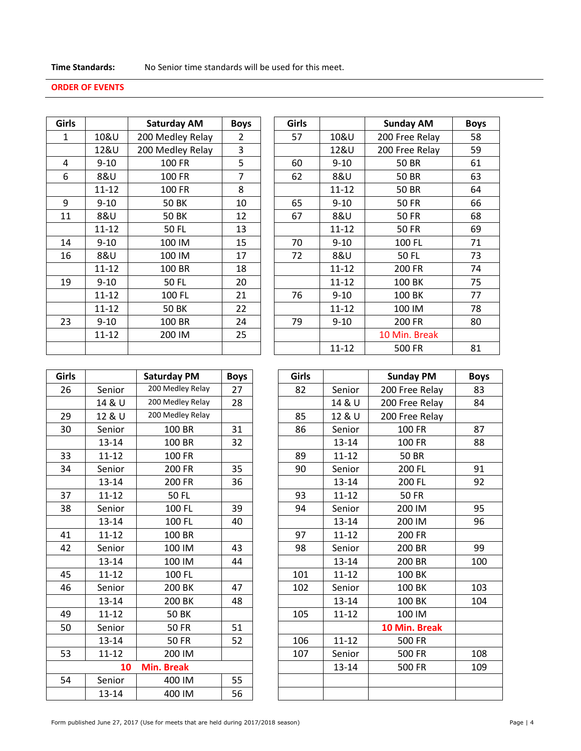## **ORDER OF EVENTS**

|           | <b>Saturday AM</b> | <b>Boys</b> | <b>Girls</b> |           | <b>Sunday AM</b> |
|-----------|--------------------|-------------|--------------|-----------|------------------|
| 10&U      | 200 Medley Relay   | 2           | 57           | 10&U      | 200 Free Relay   |
| 12&U      | 200 Medley Relay   | 3           |              | 12&U      | 200 Free Relay   |
| $9 - 10$  | 100 FR             | 5           | 60           | $9 - 10$  | 50 BR            |
| 8&U       | 100 FR             | 7           | 62           | 8&U       | <b>50 BR</b>     |
| 11-12     | 100 FR             | 8           |              | $11 - 12$ | <b>50 BR</b>     |
| $9 - 10$  | <b>50 BK</b>       | 10          | 65           | $9 - 10$  | <b>50 FR</b>     |
| 8&U       | <b>50 BK</b>       | 12          | 67           | 8&U       | <b>50 FR</b>     |
| $11 - 12$ | 50 FL              | 13          |              | 11-12     | <b>50 FR</b>     |
| $9 - 10$  | 100 IM             | 15          | 70           | $9 - 10$  | 100 FL           |
| 8&U       | 100 IM             | 17          | 72           | 8&U       | <b>50 FL</b>     |
| $11 - 12$ | 100 BR             | 18          |              | $11 - 12$ | 200 FR           |
| $9 - 10$  | <b>50 FL</b>       | 20          |              | $11 - 12$ | 100 BK           |
| $11 - 12$ | 100 FL             | 21          | 76           | $9 - 10$  | 100 BK           |
| $11 - 12$ | <b>50 BK</b>       | 22          |              | $11 - 12$ | 100 IM           |
| $9 - 10$  | 100 BR             | 24          | 79           | $9 - 10$  | 200 FR           |
| $11 - 12$ | 200 IM             | 25          |              |           | 10 Min. Break    |
|           |                    |             |              | $11 - 12$ | 500 FR           |
|           |                    |             |              |           |                  |

| Girls        |           | <b>Saturday AM</b> | <b>Boys</b>    | <b>Girls</b> |           | <b>Sunday AM</b> | <b>Boys</b> |
|--------------|-----------|--------------------|----------------|--------------|-----------|------------------|-------------|
| $\mathbf{1}$ | 10&U      | 200 Medley Relay   | $\overline{2}$ | 57           | 10&U      | 200 Free Relay   | 58          |
|              | 12&U      | 200 Medley Relay   | 3              |              | 12&U      | 200 Free Relay   | 59          |
| 4            | $9 - 10$  | 100 FR             | 5              | 60           | $9 - 10$  | <b>50 BR</b>     | 61          |
| 6            | 8&U       | 100 FR             | 7              | 62           | 8&U       | <b>50 BR</b>     | 63          |
|              | $11 - 12$ | 100 FR             | 8              |              | $11 - 12$ | <b>50 BR</b>     | 64          |
| 9            | $9 - 10$  | <b>50 BK</b>       | 10             | 65           | $9 - 10$  | <b>50 FR</b>     | 66          |
| 11           | 8&U       | <b>50 BK</b>       | 12             | 67           | 8&U       | <b>50 FR</b>     | 68          |
|              | $11 - 12$ | <b>50 FL</b>       | 13             |              | $11 - 12$ | <b>50 FR</b>     | 69          |
| 14           | $9 - 10$  | 100 IM             | 15             | 70           | $9 - 10$  | 100 FL           | 71          |
| 16           | 8&U       | 100 IM             | 17             | 72           | 8&U       | <b>50 FL</b>     | 73          |
|              | $11 - 12$ | 100 BR             | 18             |              | $11 - 12$ | 200 FR           | 74          |
| 19           | $9 - 10$  | <b>50 FL</b>       | 20             |              | $11 - 12$ | 100 BK           | 75          |
|              | $11 - 12$ | 100 FL             | 21             | 76           | $9 - 10$  | 100 BK           | 77          |
|              | $11 - 12$ | <b>50 BK</b>       | 22             |              | $11 - 12$ | 100 IM           | 78          |
| 23           | $9 - 10$  | 100 BR             | 24             | 79           | $9 - 10$  | 200 FR           | 80          |
|              | $11 - 12$ | 200 IM             | 25             |              |           | 10 Min. Break    |             |
|              |           |                    |                |              | $11 - 12$ | 500 FR           | 81          |

| <b>Girls</b> |           | <b>Saturday PM</b> | <b>Boys</b> | <b>Girls</b> |           | <b>Sunday PM</b> |
|--------------|-----------|--------------------|-------------|--------------|-----------|------------------|
| 26           | Senior    | 200 Medley Relay   | 27          | 82           | Senior    | 200 Free Relay   |
|              | 14 & U    | 200 Medley Relay   | 28          |              | 14 & U    | 200 Free Relay   |
| 29           | 12 & U    | 200 Medley Relay   |             | 85           | 12 & U    | 200 Free Relay   |
| 30           | Senior    | 100 BR             | 31          | 86           | Senior    | <b>100 FR</b>    |
|              | $13 - 14$ | 100 BR             | 32          |              | 13-14     | <b>100 FR</b>    |
| 33           | $11 - 12$ | 100 FR             |             | 89           | $11 - 12$ | <b>50 BR</b>     |
| 34           | Senior    | 200 FR             | 35          | 90           | Senior    | 200 FL           |
|              | $13 - 14$ | 200 FR             | 36          |              | 13-14     | 200 FL           |
| 37           | $11 - 12$ | <b>50 FL</b>       |             | 93           | $11 - 12$ | <b>50 FR</b>     |
| 38           | Senior    | 100 FL             | 39          | 94           | Senior    | 200 IM           |
|              | 13-14     | 100 FL             | 40          |              | 13-14     | 200 IM           |
| 41           | $11 - 12$ | 100 BR             |             | 97           | $11 - 12$ | 200 FR           |
| 42           | Senior    | 100 IM             | 43          | 98           | Senior    | 200 BR           |
|              | 13-14     | 100 IM             | 44          |              | 13-14     | 200 BR           |
| 45           | $11 - 12$ | 100 FL             |             | 101          | $11 - 12$ | 100 BK           |
| 46           | Senior    | 200 BK             | 47          | 102          | Senior    | 100 BK           |
|              | $13 - 14$ | 200 BK             | 48          |              | 13-14     | 100 BK           |
| 49           | $11 - 12$ | <b>50 BK</b>       |             | 105          | $11 - 12$ | 100 IM           |
| 50           | Senior    | <b>50 FR</b>       | 51          |              |           | 10 Min. Break    |
|              | $13 - 14$ | <b>50 FR</b>       | 52          | 106          | $11 - 12$ | <b>500 FR</b>    |
| 53           | $11 - 12$ | 200 IM             |             | 107          | Senior    | 500 FR           |
|              | 10        | <b>Min. Break</b>  |             |              | 13-14     | <b>500 FR</b>    |
| 54           | Senior    | 400 IM             | 55          |              |           |                  |
|              | 13-14     | 400 IM             | 56          |              |           |                  |

| Girls |           | <b>Saturday PM</b> | <b>Boys</b> | <b>Girls</b> |           | <b>Sunday PM</b> | <b>Boys</b> |
|-------|-----------|--------------------|-------------|--------------|-----------|------------------|-------------|
| 26    | Senior    | 200 Medley Relay   | 27          | 82           | Senior    | 200 Free Relay   | 83          |
|       | 14 & U    | 200 Medley Relay   | 28          |              | 14 & U    | 200 Free Relay   | 84          |
| 29    | 12 & U    | 200 Medley Relay   |             | 85           | 12 & U    | 200 Free Relay   |             |
| 30    | Senior    | 100 BR             | 31          | 86           | Senior    | 100 FR           | 87          |
|       | $13 - 14$ | 100 BR             | 32          |              | 13-14     | 100 FR           | 88          |
| 33    | $11 - 12$ | 100 FR             |             | 89           | $11 - 12$ | <b>50 BR</b>     |             |
| 34    | Senior    | 200 FR             | 35          | 90           | Senior    | 200 FL           | 91          |
|       | $13 - 14$ | 200 FR             | 36          |              | 13-14     | 200 FL           | 92          |
| 37    | $11 - 12$ | <b>50 FL</b>       |             | 93           | $11 - 12$ | <b>50 FR</b>     |             |
| 38    | Senior    | 100 FL             | 39          | 94           | Senior    | 200 IM           | 95          |
|       | $13 - 14$ | 100 FL             | 40          |              | $13 - 14$ | 200 IM           | 96          |
| 41    | $11 - 12$ | 100 BR             |             | 97           | $11 - 12$ | 200 FR           |             |
| 42    | Senior    | 100 IM             | 43          | 98           | Senior    | 200 BR           | 99          |
|       | $13 - 14$ | 100 IM             | 44          |              | $13 - 14$ | 200 BR           | 100         |
| 45    | $11 - 12$ | 100 FL             |             | 101          | $11 - 12$ | 100 BK           |             |
| 46    | Senior    | 200 BK             | 47          | 102          | Senior    | 100 BK           | 103         |
|       | $13 - 14$ | 200 BK             | 48          |              | 13-14     | 100 BK           | 104         |
| 49    | $11 - 12$ | <b>50 BK</b>       |             | 105          | $11 - 12$ | 100 IM           |             |
| 50    | Senior    | <b>50 FR</b>       | 51          |              |           | 10 Min. Break    |             |
|       | $13 - 14$ | <b>50 FR</b>       | 52          | 106          | $11 - 12$ | 500 FR           |             |
| 53    | $11 - 12$ | 200 IM             |             | 107          | Senior    | <b>500 FR</b>    | 108         |
|       | 10        | <b>Min. Break</b>  |             |              | 13-14     | 500 FR           | 109         |
| 54    | Senior    | 400 IM             | 55          |              |           |                  |             |
|       | 13-14     | 400 IM             | 56          |              |           |                  |             |